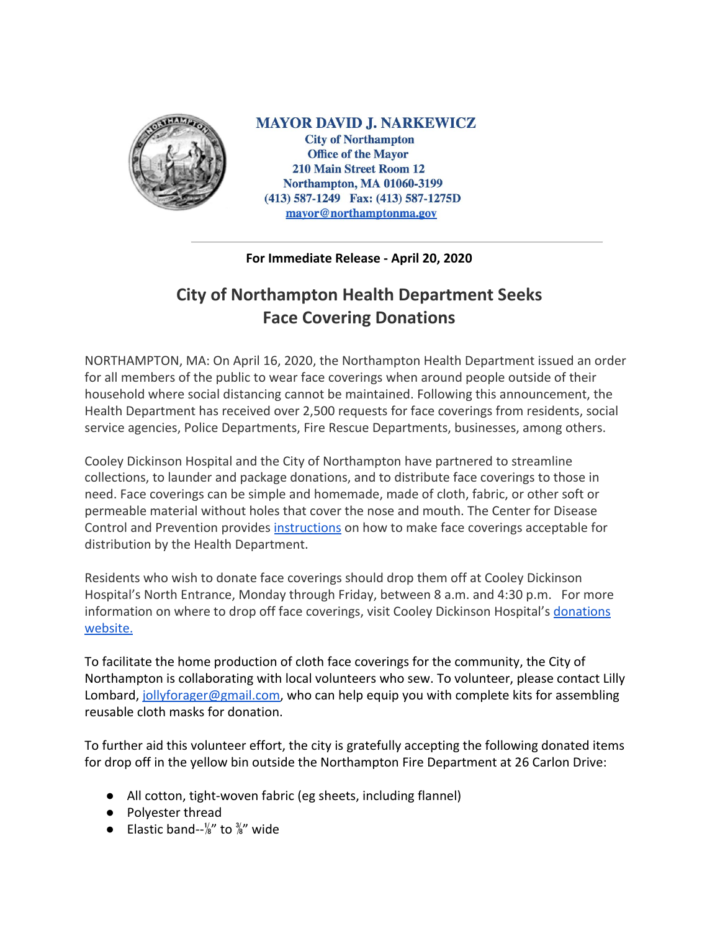

**MAYOR DAVID J. NARKEWICZ City of Northampton Office of the Mayor 210 Main Street Room 12 Northampton, MA 01060-3199**  $(413)$  587-1249 Fax:  $(413)$  587-1275D mayor@northamptonma.gov

**For Immediate Release - April 20, 2020**

## **City of Northampton Health Department Seeks Face Covering Donations**

NORTHAMPTON, MA: On April 16, 2020, the Northampton Health Department issued an order for all members of the public to wear face coverings when around people outside of their household where social distancing cannot be maintained. Following this announcement, the Health Department has received over 2,500 requests for face coverings from residents, social service agencies, Police Departments, Fire Rescue Departments, businesses, among others.

Cooley Dickinson Hospital and the City of Northampton have partnered to streamline collections, to launder and package donations, and to distribute face coverings to those in need. Face coverings can be simple and homemade, made of cloth, fabric, or other soft or permeable material without holes that cover the nose and mouth. The Center for Disease Control and Prevention provides [instructions](https://www.cdc.gov/coronavirus/2019-ncov/prevent-getting-sick/diy-cloth-face-coverings.html) on how to make face coverings acceptable for distribution by the Health Department.

Residents who wish to donate face coverings should drop them off at Cooley Dickinson Hospital's North Entrance, Monday through Friday, between 8 a.m. and 4:30 p.m. For more information on where to drop off face coverings, visit Cooley Dickinson Hospital's [donations](https://www.cooleydickinson.org/home/coronavirus-resources/donations) [website.](https://www.cooleydickinson.org/home/coronavirus-resources/donations)

To facilitate the home production of cloth face coverings for the community, the City of Northampton is collaborating with local volunteers who sew. To volunteer, please contact Lilly Lombard, [jollyforager@gmail.com](mailto:jollyforager@gmail.com), who can help equip you with complete kits for assembling reusable cloth masks for donation.

To further aid this volunteer effort, the city is gratefully accepting the following donated items for drop off in the yellow bin outside the Northampton Fire Department at 26 Carlon Drive:

- All cotton, tight-woven fabric (eg sheets, including flannel)
- Polyester thread
- Elastic band-- $\frac{1}{8}$ " to  $\frac{3}{8}$ " wide